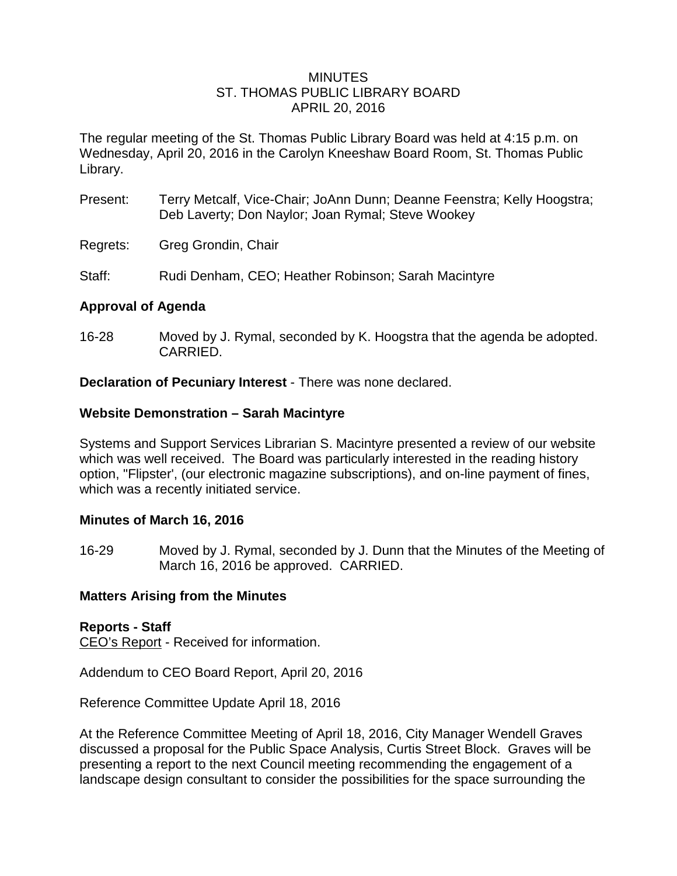## MINUTES ST. THOMAS PUBLIC LIBRARY BOARD APRIL 20, 2016

The regular meeting of the St. Thomas Public Library Board was held at 4:15 p.m. on Wednesday, April 20, 2016 in the Carolyn Kneeshaw Board Room, St. Thomas Public Library.

- Present: Terry Metcalf, Vice-Chair; JoAnn Dunn; Deanne Feenstra; Kelly Hoogstra; Deb Laverty; Don Naylor; Joan Rymal; Steve Wookey
- Regrets: Greg Grondin, Chair
- Staff: Rudi Denham, CEO; Heather Robinson; Sarah Macintyre

# **Approval of Agenda**

16-28 Moved by J. Rymal, seconded by K. Hoogstra that the agenda be adopted. CARRIED.

**Declaration of Pecuniary Interest** - There was none declared.

## **Website Demonstration – Sarah Macintyre**

Systems and Support Services Librarian S. Macintyre presented a review of our website which was well received. The Board was particularly interested in the reading history option, "Flipster', (our electronic magazine subscriptions), and on-line payment of fines, which was a recently initiated service.

## **Minutes of March 16, 2016**

16-29 Moved by J. Rymal, seconded by J. Dunn that the Minutes of the Meeting of March 16, 2016 be approved. CARRIED.

## **Matters Arising from the Minutes**

## **Reports - Staff**

CEO's Report - Received for information.

Addendum to CEO Board Report, April 20, 2016

Reference Committee Update April 18, 2016

At the Reference Committee Meeting of April 18, 2016, City Manager Wendell Graves discussed a proposal for the Public Space Analysis, Curtis Street Block. Graves will be presenting a report to the next Council meeting recommending the engagement of a landscape design consultant to consider the possibilities for the space surrounding the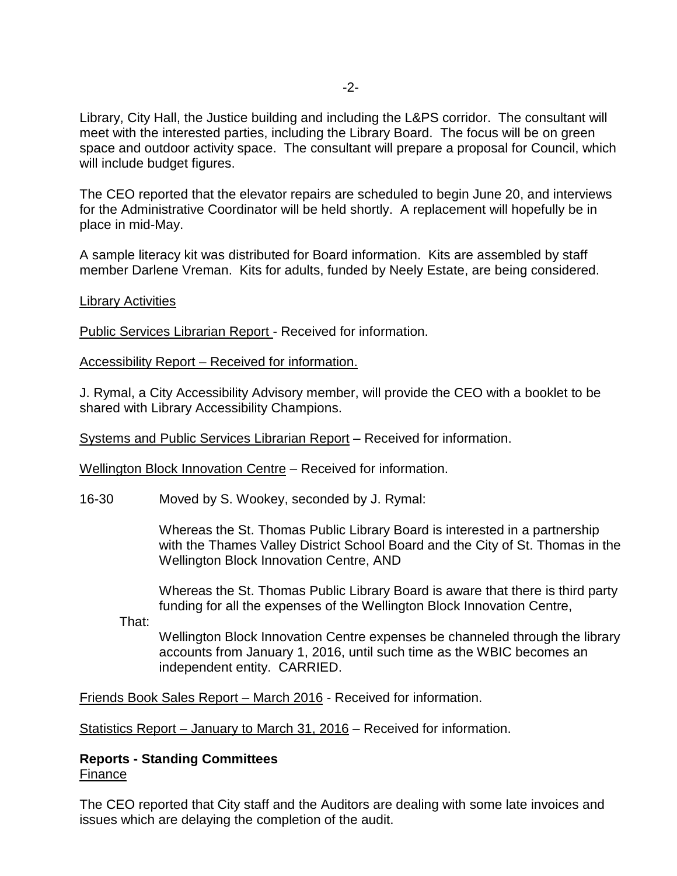Library, City Hall, the Justice building and including the L&PS corridor. The consultant will meet with the interested parties, including the Library Board. The focus will be on green space and outdoor activity space. The consultant will prepare a proposal for Council, which will include budget figures.

The CEO reported that the elevator repairs are scheduled to begin June 20, and interviews for the Administrative Coordinator will be held shortly. A replacement will hopefully be in place in mid-May.

A sample literacy kit was distributed for Board information. Kits are assembled by staff member Darlene Vreman. Kits for adults, funded by Neely Estate, are being considered.

## **Library Activities**

Public Services Librarian Report - Received for information.

Accessibility Report – Received for information.

J. Rymal, a City Accessibility Advisory member, will provide the CEO with a booklet to be shared with Library Accessibility Champions.

Systems and Public Services Librarian Report – Received for information.

Wellington Block Innovation Centre – Received for information.

16-30 Moved by S. Wookey, seconded by J. Rymal:

Whereas the St. Thomas Public Library Board is interested in a partnership with the Thames Valley District School Board and the City of St. Thomas in the Wellington Block Innovation Centre, AND

Whereas the St. Thomas Public Library Board is aware that there is third party funding for all the expenses of the Wellington Block Innovation Centre,

That:

Wellington Block Innovation Centre expenses be channeled through the library accounts from January 1, 2016, until such time as the WBIC becomes an independent entity. CARRIED.

Friends Book Sales Report – March 2016 - Received for information.

Statistics Report – January to March 31, 2016 – Received for information.

## **Reports - Standing Committees** Finance

The CEO reported that City staff and the Auditors are dealing with some late invoices and issues which are delaying the completion of the audit.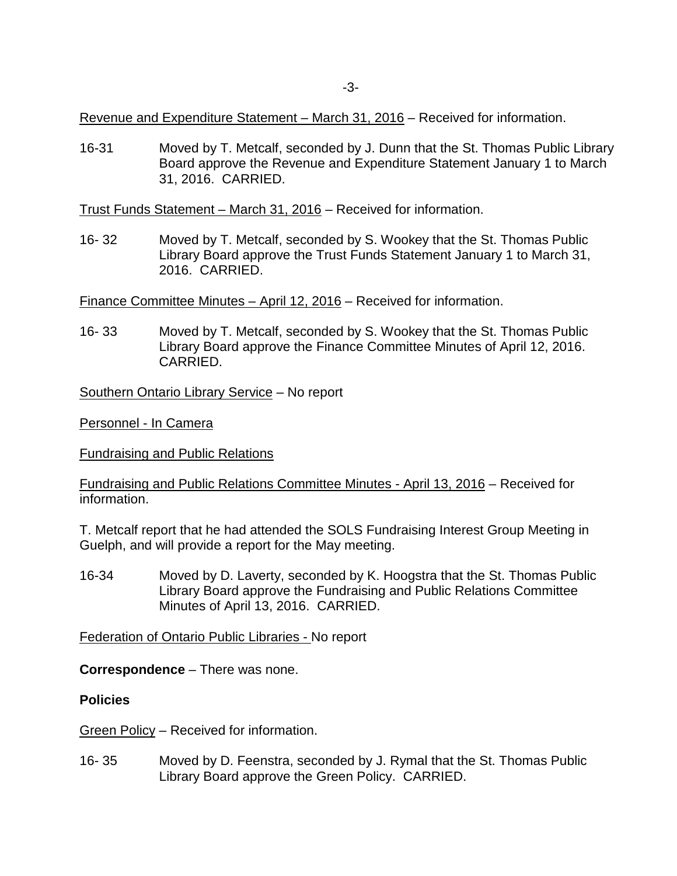Revenue and Expenditure Statement – March 31, 2016 – Received for information.

16-31 Moved by T. Metcalf, seconded by J. Dunn that the St. Thomas Public Library Board approve the Revenue and Expenditure Statement January 1 to March 31, 2016. CARRIED.

Trust Funds Statement – March 31, 2016 – Received for information.

16- 32 Moved by T. Metcalf, seconded by S. Wookey that the St. Thomas Public Library Board approve the Trust Funds Statement January 1 to March 31, 2016. CARRIED.

Finance Committee Minutes – April 12, 2016 – Received for information.

16- 33 Moved by T. Metcalf, seconded by S. Wookey that the St. Thomas Public Library Board approve the Finance Committee Minutes of April 12, 2016. CARRIED.

Southern Ontario Library Service – No report

Personnel - In Camera

Fundraising and Public Relations

Fundraising and Public Relations Committee Minutes - April 13, 2016 – Received for information.

T. Metcalf report that he had attended the SOLS Fundraising Interest Group Meeting in Guelph, and will provide a report for the May meeting.

16-34 Moved by D. Laverty, seconded by K. Hoogstra that the St. Thomas Public Library Board approve the Fundraising and Public Relations Committee Minutes of April 13, 2016. CARRIED.

Federation of Ontario Public Libraries - No report

**Correspondence** – There was none.

#### **Policies**

Green Policy – Received for information.

16- 35 Moved by D. Feenstra, seconded by J. Rymal that the St. Thomas Public Library Board approve the Green Policy. CARRIED.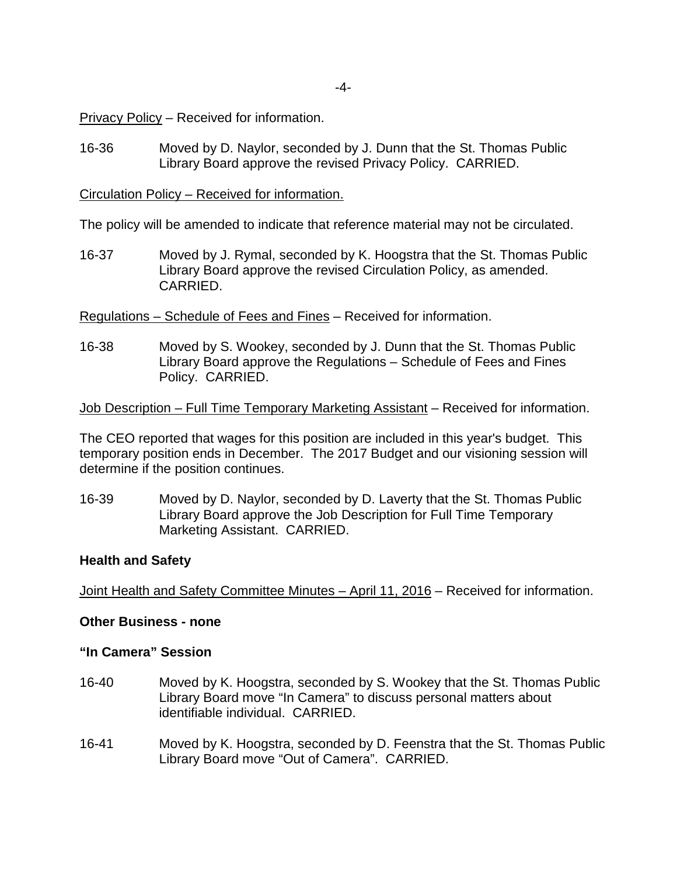Privacy Policy – Received for information.

16-36 Moved by D. Naylor, seconded by J. Dunn that the St. Thomas Public Library Board approve the revised Privacy Policy. CARRIED.

Circulation Policy – Received for information.

The policy will be amended to indicate that reference material may not be circulated.

16-37 Moved by J. Rymal, seconded by K. Hoogstra that the St. Thomas Public Library Board approve the revised Circulation Policy, as amended. CARRIED.

Regulations – Schedule of Fees and Fines – Received for information.

16-38 Moved by S. Wookey, seconded by J. Dunn that the St. Thomas Public Library Board approve the Regulations – Schedule of Fees and Fines Policy. CARRIED.

Job Description – Full Time Temporary Marketing Assistant – Received for information.

The CEO reported that wages for this position are included in this year's budget. This temporary position ends in December. The 2017 Budget and our visioning session will determine if the position continues.

16-39 Moved by D. Naylor, seconded by D. Laverty that the St. Thomas Public Library Board approve the Job Description for Full Time Temporary Marketing Assistant. CARRIED.

#### **Health and Safety**

Joint Health and Safety Committee Minutes – April 11, 2016 – Received for information.

## **Other Business - none**

## **"In Camera" Session**

- 16-40 Moved by K. Hoogstra, seconded by S. Wookey that the St. Thomas Public Library Board move "In Camera" to discuss personal matters about identifiable individual. CARRIED.
- 16-41 Moved by K. Hoogstra, seconded by D. Feenstra that the St. Thomas Public Library Board move "Out of Camera". CARRIED.